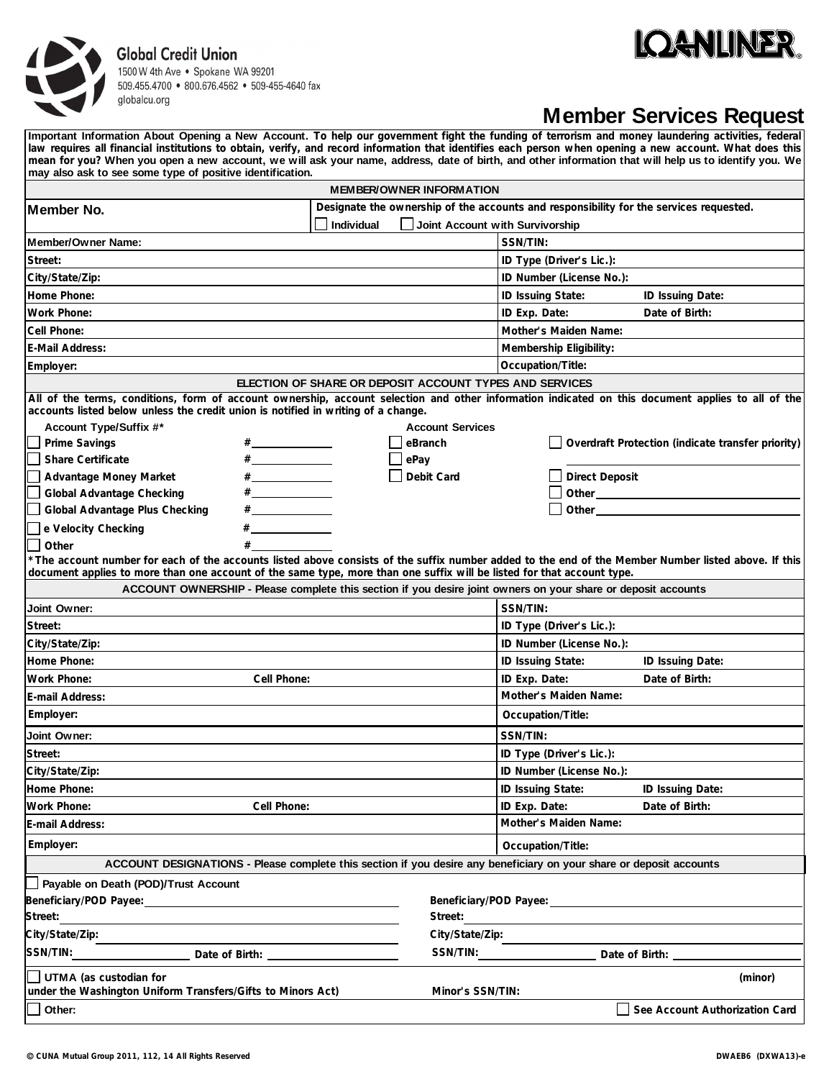## **Global Credit Union**





## **Member Services Request**

**Important Information About Opening a New Account. To help our government fight the funding of terrorism and money laundering activities, federal law requires all financial institutions to obtain, verify, and record information that identifies each person when opening a new account. What does this mean for you? When you open a new account, we will ask your name, address, date of birth, and other information that will help us to identify you. We may also ask to see some type of positive identification.**

| <b>MEMBER/OWNER INFORMATION</b>                                                                                                                                                                                                                                                                                                                                                                                                                                                                                                                       |                                                                                                                                                                                                                                |  |
|-------------------------------------------------------------------------------------------------------------------------------------------------------------------------------------------------------------------------------------------------------------------------------------------------------------------------------------------------------------------------------------------------------------------------------------------------------------------------------------------------------------------------------------------------------|--------------------------------------------------------------------------------------------------------------------------------------------------------------------------------------------------------------------------------|--|
| Designate the ownership of the accounts and responsibility for the services requested.<br> Member No.                                                                                                                                                                                                                                                                                                                                                                                                                                                 |                                                                                                                                                                                                                                |  |
| <b>Individual</b>                                                                                                                                                                                                                                                                                                                                                                                                                                                                                                                                     | Joint Account with Survivorship                                                                                                                                                                                                |  |
| Member/Owner Name:                                                                                                                                                                                                                                                                                                                                                                                                                                                                                                                                    | SSN/TIN:                                                                                                                                                                                                                       |  |
| Street:                                                                                                                                                                                                                                                                                                                                                                                                                                                                                                                                               | ID Type (Driver's Lic.):                                                                                                                                                                                                       |  |
| City/State/Zip:                                                                                                                                                                                                                                                                                                                                                                                                                                                                                                                                       | ID Number (License No.):                                                                                                                                                                                                       |  |
| Home Phone:                                                                                                                                                                                                                                                                                                                                                                                                                                                                                                                                           | ID Issuing State:<br>ID Issuing Date:                                                                                                                                                                                          |  |
| <b>Work Phone:</b>                                                                                                                                                                                                                                                                                                                                                                                                                                                                                                                                    | ID Exp. Date:<br>Date of Birth:                                                                                                                                                                                                |  |
| Cell Phone:                                                                                                                                                                                                                                                                                                                                                                                                                                                                                                                                           | Mother's Maiden Name:                                                                                                                                                                                                          |  |
| E-Mail Address:                                                                                                                                                                                                                                                                                                                                                                                                                                                                                                                                       | Membership Eligibility:                                                                                                                                                                                                        |  |
| Employer:                                                                                                                                                                                                                                                                                                                                                                                                                                                                                                                                             | Occupation/Title:                                                                                                                                                                                                              |  |
| ELECTION OF SHARE OR DEPOSIT ACCOUNT TYPES AND SERVICES                                                                                                                                                                                                                                                                                                                                                                                                                                                                                               |                                                                                                                                                                                                                                |  |
| All of the terms, conditions, form of account ownership, account selection and other information indicated on this document applies to all of the<br>accounts listed below unless the credit union is notified in writing of a change.                                                                                                                                                                                                                                                                                                                |                                                                                                                                                                                                                                |  |
| Account Type/Suffix #*                                                                                                                                                                                                                                                                                                                                                                                                                                                                                                                                | <b>Account Services</b>                                                                                                                                                                                                        |  |
| ∐ Prime Savings<br>$\# \underbrace{\hspace{25mm}}$                                                                                                                                                                                                                                                                                                                                                                                                                                                                                                    | Overdraft Protection (indicate transfer priority)<br>eBranch                                                                                                                                                                   |  |
| $\# \begin{tabular}{c} \multicolumn{3}{c} {\textbf{\#}} \\ \multicolumn{3}{c} {\textbf{\#}} \\ \multicolumn{3}{c} {\textbf{\#}} \\ \multicolumn{3}{c} {\textbf{\#}} \\ \multicolumn{3}{c} {\textbf{\#}} \\ \multicolumn{3}{c} {\textbf{\#}} \\ \multicolumn{3}{c} {\textbf{\#}} \\ \multicolumn{3}{c} {\textbf{\#}} \\ \multicolumn{3}{c} {\textbf{\#}} \\ \multicolumn{3}{c} {\textbf{\#}} \\ \multicolumn{3}{c} {\textbf{\#}} \\ \multicolumn{3}{c} {\textbf{\#}} \\ \multicolumn{3}{c} {\textbf{\#}} \\ \mult$<br><b>Share Certificate</b><br>ePay |                                                                                                                                                                                                                                |  |
| Advantage Money Market<br>$\# \underbrace{\hspace{2.5cm}}$                                                                                                                                                                                                                                                                                                                                                                                                                                                                                            | Debit Card<br><b>Direct Deposit</b>                                                                                                                                                                                            |  |
| <b>Global Advantage Checking</b><br>$\#$                                                                                                                                                                                                                                                                                                                                                                                                                                                                                                              |                                                                                                                                                                                                                                |  |
| Global Advantage Plus Checking<br>$\#$ and the set of $\#$                                                                                                                                                                                                                                                                                                                                                                                                                                                                                            | Other the contract of the contract of the contract of the contract of the contract of the contract of the contract of the contract of the contract of the contract of the contract of the contract of the contract of the cont |  |
| e Velocity Checking                                                                                                                                                                                                                                                                                                                                                                                                                                                                                                                                   |                                                                                                                                                                                                                                |  |
| $#$ and $#$<br>Other                                                                                                                                                                                                                                                                                                                                                                                                                                                                                                                                  |                                                                                                                                                                                                                                |  |
| *The account number for each of the accounts listed above consists of the suffix number added to the end of the Member Number listed above. If this<br>document applies to more than one account of the same type, more than one suffix will be listed for that account type.                                                                                                                                                                                                                                                                         |                                                                                                                                                                                                                                |  |
| ACCOUNT OWNERSHIP - Please complete this section if you desire joint owners on your share or deposit accounts                                                                                                                                                                                                                                                                                                                                                                                                                                         |                                                                                                                                                                                                                                |  |
| Joint Owner:                                                                                                                                                                                                                                                                                                                                                                                                                                                                                                                                          | SSN/TIN:                                                                                                                                                                                                                       |  |
| Street:                                                                                                                                                                                                                                                                                                                                                                                                                                                                                                                                               | ID Type (Driver's Lic.):                                                                                                                                                                                                       |  |
| City/State/Zip:                                                                                                                                                                                                                                                                                                                                                                                                                                                                                                                                       | ID Number (License No.):                                                                                                                                                                                                       |  |
| Home Phone:                                                                                                                                                                                                                                                                                                                                                                                                                                                                                                                                           | ID Issuing State:<br>ID Issuing Date:                                                                                                                                                                                          |  |
| Work Phone:<br>Cell Phone:                                                                                                                                                                                                                                                                                                                                                                                                                                                                                                                            | ID Exp. Date:<br>Date of Birth:                                                                                                                                                                                                |  |
| E-mail Address:                                                                                                                                                                                                                                                                                                                                                                                                                                                                                                                                       | Mother's Maiden Name:                                                                                                                                                                                                          |  |
| Employer:                                                                                                                                                                                                                                                                                                                                                                                                                                                                                                                                             | Occupation/Title:                                                                                                                                                                                                              |  |
| Joint Owner:                                                                                                                                                                                                                                                                                                                                                                                                                                                                                                                                          | SSN/TIN:                                                                                                                                                                                                                       |  |
| Street:                                                                                                                                                                                                                                                                                                                                                                                                                                                                                                                                               | ID Type (Driver's Lic.):                                                                                                                                                                                                       |  |
| City/State/Zip:                                                                                                                                                                                                                                                                                                                                                                                                                                                                                                                                       | ID Number (License No.):                                                                                                                                                                                                       |  |
| Home Phone:                                                                                                                                                                                                                                                                                                                                                                                                                                                                                                                                           | <b>ID Issuing State:</b><br><b>ID Issuing Date:</b>                                                                                                                                                                            |  |
| <b>Work Phone:</b><br>Cell Phone:                                                                                                                                                                                                                                                                                                                                                                                                                                                                                                                     | ID Exp. Date:<br>Date of Birth:                                                                                                                                                                                                |  |
| E-mail Address:                                                                                                                                                                                                                                                                                                                                                                                                                                                                                                                                       | Mother's Maiden Name:                                                                                                                                                                                                          |  |
| Employer:                                                                                                                                                                                                                                                                                                                                                                                                                                                                                                                                             | Occupation/Title:                                                                                                                                                                                                              |  |
| ACCOUNT DESIGNATIONS - Please complete this section if you desire any beneficiary on your share or deposit accounts                                                                                                                                                                                                                                                                                                                                                                                                                                   |                                                                                                                                                                                                                                |  |
| Payable on Death (POD)/Trust Account                                                                                                                                                                                                                                                                                                                                                                                                                                                                                                                  |                                                                                                                                                                                                                                |  |
|                                                                                                                                                                                                                                                                                                                                                                                                                                                                                                                                                       |                                                                                                                                                                                                                                |  |
| Street:                                                                                                                                                                                                                                                                                                                                                                                                                                                                                                                                               | Street:                                                                                                                                                                                                                        |  |
| City/State/Zip:                                                                                                                                                                                                                                                                                                                                                                                                                                                                                                                                       | City/State/Zip:                                                                                                                                                                                                                |  |
|                                                                                                                                                                                                                                                                                                                                                                                                                                                                                                                                                       | SSN/TIN: Date of Birth: ________                                                                                                                                                                                               |  |
| UTMA (as custodian for<br>(minor)                                                                                                                                                                                                                                                                                                                                                                                                                                                                                                                     |                                                                                                                                                                                                                                |  |
| under the Washington Uniform Transfers/Gifts to Minors Act)                                                                                                                                                                                                                                                                                                                                                                                                                                                                                           | Minor's SSN/TIN:                                                                                                                                                                                                               |  |
| Other:                                                                                                                                                                                                                                                                                                                                                                                                                                                                                                                                                | See Account Authorization Card                                                                                                                                                                                                 |  |